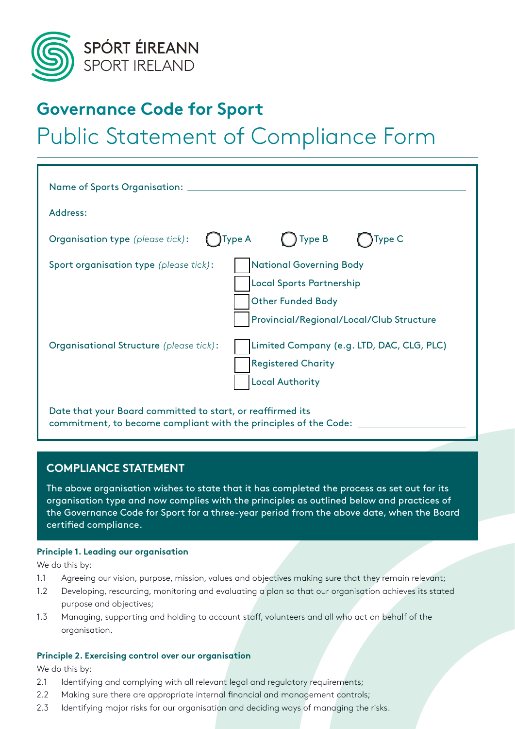

# **Governance Code for Sport**

# Public Statement of Compliance Form

| Name of Sports Organisation: _______________                                                                                   |                                                                                                                                           |
|--------------------------------------------------------------------------------------------------------------------------------|-------------------------------------------------------------------------------------------------------------------------------------------|
|                                                                                                                                |                                                                                                                                           |
| <b>Organisation type</b> (please tick):                                                                                        | $\bigcap$ Type A $\bigcap$ Type B<br>Type C                                                                                               |
| Sport organisation type (please tick):                                                                                         | <b>National Governing Body</b><br><b>Local Sports Partnership</b><br><b>Other Funded Body</b><br>Provincial/Regional/Local/Club Structure |
| Organisational Structure (please tick):                                                                                        | Limited Company (e.g. LTD, DAC, CLG, PLC)<br><b>Registered Charity</b><br><b>Local Authority</b>                                          |
| Date that your Board committed to start, or reaffirmed its<br>commitment, to become compliant with the principles of the Code: |                                                                                                                                           |

## **COMPLIANCE STATEMENT**

The above organisation wishes to state that it has completed the process as set out for its organisation type and now complies with the principles as outlined below and practices of the Governance Code for Sport for a three-year period from the above date, when the Board certified compliance.

#### **Principle 1. Leading our organisation**

We do this by:

- 1.1 Agreeing our vision, purpose, mission, values and objectives making sure that they remain relevant;
- 1.2 Developing, resourcing, monitoring and evaluating a plan so that our organisation achieves its stated purpose and objectives;
- 1.3 Managing, supporting and holding to account staff, volunteers and all who act on behalf of the organisation.

#### **Principle 2. Exercising control over our organisation**

We do this by:

- 2.1 Identifying and complying with all relevant legal and regulatory requirements;
- 2.2 Making sure there are appropriate internal financial and management controls;
- 2.3 Identifying major risks for our organisation and deciding ways of managing the risks.